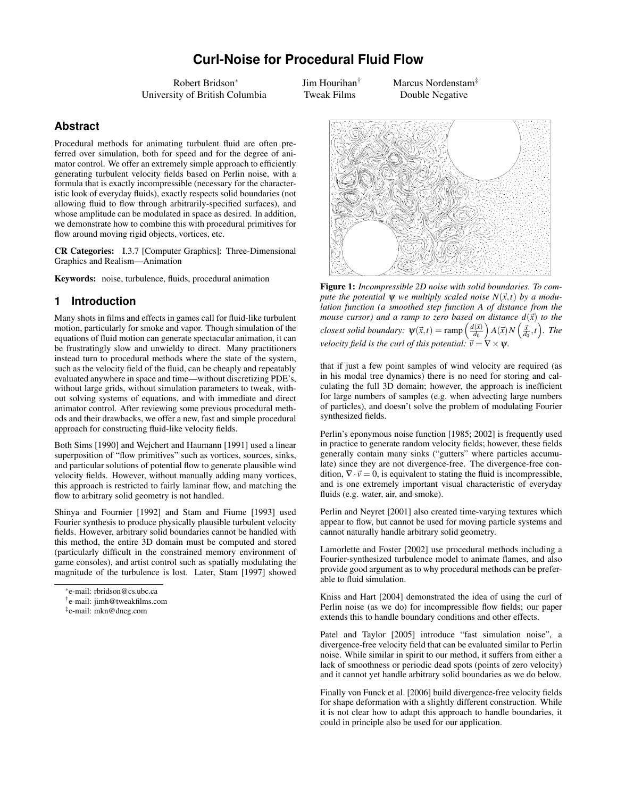# Curl-Noise for Procedural Fluid Flow

Robert Bridson<sup>∗</sup> University of British Columbia Jim Hourihan† Tweak Films

Marcus Nordenstam‡ Double Negative

# Abstract

Procedural methods for animating turbulent fluid are often preferred over simulation, both for speed and for the degree of animator control. We offer an extremely simple approach to efficiently generating turbulent velocity fields based on Perlin noise, with a formula that is exactly incompressible (necessary for the characteristic look of everyday fluids), exactly respects solid boundaries (not allowing fluid to flow through arbitrarily-specified surfaces), and whose amplitude can be modulated in space as desired. In addition, we demonstrate how to combine this with procedural primitives for flow around moving rigid objects, vortices, etc.

CR Categories: I.3.7 [Computer Graphics]: Three-Dimensional Graphics and Realism—Animation

Keywords: noise, turbulence, fluids, procedural animation

# 1 Introduction

Many shots in films and effects in games call for fluid-like turbulent motion, particularly for smoke and vapor. Though simulation of the equations of fluid motion can generate spectacular animation, it can be frustratingly slow and unwieldy to direct. Many practitioners instead turn to procedural methods where the state of the system, such as the velocity field of the fluid, can be cheaply and repeatably evaluated anywhere in space and time—without discretizing PDE's, without large grids, without simulation parameters to tweak, without solving systems of equations, and with immediate and direct animator control. After reviewing some previous procedural methods and their drawbacks, we offer a new, fast and simple procedural approach for constructing fluid-like velocity fields.

Both Sims [1990] and Wejchert and Haumann [1991] used a linear superposition of "flow primitives" such as vortices, sources, sinks, and particular solutions of potential flow to generate plausible wind velocity fields. However, without manually adding many vortices, this approach is restricted to fairly laminar flow, and matching the flow to arbitrary solid geometry is not handled.

Shinya and Fournier [1992] and Stam and Fiume [1993] used Fourier synthesis to produce physically plausible turbulent velocity fields. However, arbitrary solid boundaries cannot be handled with this method, the entire 3D domain must be computed and stored (particularly difficult in the constrained memory environment of game consoles), and artist control such as spatially modulating the magnitude of the turbulence is lost. Later, Stam [1997] showed



Figure 1: Incompressible 2D noise with solid boundaries. To compute the potential  $\psi$  we multiply scaled noise  $N(\vec{x},t)$  by a modulation function (a smoothed step function A of distance from the mouse cursor) and a ramp to zero based on distance  $d(\vec{x})$  to the closest solid boundary:  $\psi(\vec{x},t) = \text{ramp}\left(\frac{d(\vec{x})}{d_0}\right) A(\vec{x}) N\left(\frac{\vec{x}}{d_0},t\right)$ . The velocity field is the curl of this potential:  $\vec{v} = \nabla \times \psi$ .

that if just a few point samples of wind velocity are required (as in his modal tree dynamics) there is no need for storing and calculating the full 3D domain; however, the approach is inefficient for large numbers of samples (e.g. when advecting large numbers of particles), and doesn't solve the problem of modulating Fourier synthesized fields.

Perlin's eponymous noise function [1985; 2002] is frequently used in practice to generate random velocity fields; however, these fields generally contain many sinks ("gutters" where particles accumulate) since they are not divergence-free. The divergence-free condition,  $\nabla \cdot \vec{v} = 0$ , is equivalent to stating the fluid is incompressible, and is one extremely important visual characteristic of everyday fluids (e.g. water, air, and smoke).

Perlin and Neyret [2001] also created time-varying textures which appear to flow, but cannot be used for moving particle systems and cannot naturally handle arbitrary solid geometry.

Lamorlette and Foster [2002] use procedural methods including a Fourier-synthesized turbulence model to animate flames, and also provide good argument as to why procedural methods can be preferable to fluid simulation.

Kniss and Hart [2004] demonstrated the idea of using the curl of Perlin noise (as we do) for incompressible flow fields; our paper extends this to handle boundary conditions and other effects.

Patel and Taylor [2005] introduce "fast simulation noise", a divergence-free velocity field that can be evaluated similar to Perlin noise. While similar in spirit to our method, it suffers from either a lack of smoothness or periodic dead spots (points of zero velocity) and it cannot yet handle arbitrary solid boundaries as we do below.

Finally von Funck et al. [2006] build divergence-free velocity fields for shape deformation with a slightly different construction. While it is not clear how to adapt this approach to handle boundaries, it could in principle also be used for our application.

<sup>∗</sup> e-mail: rbridson@cs.ubc.ca

<sup>†</sup> e-mail: jimh@tweakfilms.com

<sup>‡</sup> e-mail: mkn@dneg.com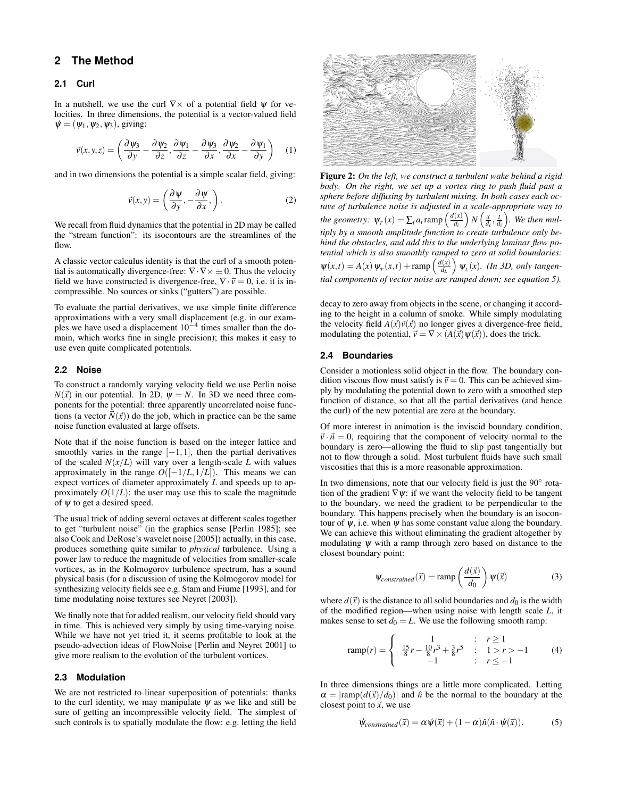# 2 The Method

### 2.1 Curl

In a nutshell, we use the curl  $\nabla \times$  of a potential field  $\psi$  for velocities. In three dimensions, the potential is a vector-valued field  $\vec{\psi} = (\psi_1, \psi_2, \psi_3)$ , giving:

$$
\vec{v}(x,y,z) = \left(\frac{\partial \psi_3}{\partial y} - \frac{\partial \psi_2}{\partial z}, \frac{\partial \psi_1}{\partial z} - \frac{\partial \psi_3}{\partial x}, \frac{\partial \psi_2}{\partial x} - \frac{\partial \psi_1}{\partial y}\right) \quad (1)
$$

and in two dimensions the potential is a simple scalar field, giving:

$$
\vec{v}(x,y) = \left(\frac{\partial \psi}{\partial y}, -\frac{\partial \psi}{\partial x}, \right). \tag{2}
$$

We recall from fluid dynamics that the potential in 2D may be called the "stream function": its isocontours are the streamlines of the flow.

A classic vector calculus identity is that the curl of a smooth potential is automatically divergence-free:  $\nabla \cdot \nabla \times \equiv 0$ . Thus the velocity field we have constructed is divergence-free,  $\nabla \cdot \vec{v} = 0$ , i.e. it is incompressible. No sources or sinks ("gutters") are possible.

To evaluate the partial derivatives, we use simple finite difference approximations with a very small displacement (e.g. in our examples we have used a displacement  $10^{-4}$  times smaller than the domain, which works fine in single precision); this makes it easy to use even quite complicated potentials.

### 2.2 Noise

To construct a randomly varying velocity field we use Perlin noise  $N(\vec{x})$  in our potential. In 2D,  $\psi = N$ . In 3D we need three components for the potential: three apparently uncorrelated noise functions (a vector  $\vec{N}(\vec{x})$ ) do the job, which in practice can be the same noise function evaluated at large offsets.

Note that if the noise function is based on the integer lattice and smoothly varies in the range  $[-1,1]$ , then the partial derivatives of the scaled  $N(x/L)$  will vary over a length-scale L with values approximately in the range  $O([-1/L,1/L])$ . This means we can expect vortices of diameter approximately  $L$  and speeds up to approximately  $O(1/L)$ : the user may use this to scale the magnitude of  $\psi$  to get a desired speed.

The usual trick of adding several octaves at different scales together to get "turbulent noise" (in the graphics sense [Perlin 1985]; see also Cook and DeRose's wavelet noise [2005]) actually, in this case, produces something quite similar to physical turbulence. Using a power law to reduce the magnitude of velocities from smaller-scale vortices, as in the Kolmogorov turbulence spectrum, has a sound physical basis (for a discussion of using the Kolmogorov model for synthesizing velocity fields see e.g. Stam and Fiume [1993], and for time modulating noise textures see Neyret [2003]).

We finally note that for added realism, our velocity field should vary in time. This is achieved very simply by using time-varying noise. While we have not yet tried it, it seems profitable to look at the pseudo-advection ideas of FlowNoise [Perlin and Neyret 2001] to give more realism to the evolution of the turbulent vortices.

#### 2.3 Modulation

We are not restricted to linear superposition of potentials: thanks to the curl identity, we may manipulate  $\psi$  as we like and still be sure of getting an incompressible velocity field. The simplest of such controls is to spatially modulate the flow: e.g. letting the field



Figure 2: On the left, we construct a turbulent wake behind a rigid body. On the right, we set up a vortex ring to push fluid past a sphere before diffusing by turbulent mixing. In both cases each octave of turbulence noise is adjusted in a scale-appropriate way to the geometry:  $\psi_{T}(x) = \sum_{i} a_{i} \text{ramp}\left(\frac{d(x)}{d_{i}}\right) N\left(\frac{x}{d_{i}}, \frac{t}{d_{i}}\right)$ . We then multiply by a smooth amplitude function to create turbulence only behind the obstacles, and add this to the underlying laminar flow potential which is also smoothly ramped to zero at solid boundaries:  $\psi(x,t) = A(x)\psi_{T}(x,t) + \text{ramp}\left(\frac{d(x)}{d_L}\right)\psi_{L}(x)$ . (In 3D, only tangential components of vector noise are ramped down; see equation 5).

decay to zero away from objects in the scene, or changing it according to the height in a column of smoke. While simply modulating the velocity field  $A(\vec{x})\vec{v}(\vec{x})$  no longer gives a divergence-free field, modulating the potential,  $\vec{v} = \nabla \times (A(\vec{x})\psi(\vec{x}))$ , does the trick.

#### 2.4 Boundaries

Consider a motionless solid object in the flow. The boundary condition viscous flow must satisfy is  $\vec{v} = 0$ . This can be achieved simply by modulating the potential down to zero with a smoothed step function of distance, so that all the partial derivatives (and hence the curl) of the new potential are zero at the boundary.

Of more interest in animation is the inviscid boundary condition,  $\vec{v} \cdot \vec{n} = 0$ , requiring that the component of velocity normal to the boundary is zero—allowing the fluid to slip past tangentially but not to flow through a solid. Most turbulent fluids have such small viscosities that this is a more reasonable approximation.

In two dimensions, note that our velocity field is just the 90° rotation of the gradient  $\nabla \psi$ : if we want the velocity field to be tangent to the boundary, we need the gradient to be perpendicular to the boundary. This happens precisely when the boundary is an isocontour of  $\psi$ , i.e. when  $\psi$  has some constant value along the boundary. We can achieve this without eliminating the gradient altogether by modulating  $\psi$  with a ramp through zero based on distance to the closest boundary point:

$$
\Psi_{constrained}(\vec{x}) = \text{ramp}\left(\frac{d(\vec{x})}{d_0}\right) \Psi(\vec{x}) \tag{3}
$$

where  $d(\vec{x})$  is the distance to all solid boundaries and  $d_0$  is the width of the modified region—when using noise with length scale  $L$ , it makes sense to set  $d_0 = L$ . We use the following smooth ramp:

$$
\text{ramp}(r) = \begin{cases} 1 & \text{if } r \ge 1\\ \frac{15}{8}r - \frac{10}{8}r^3 + \frac{3}{8}r^5 & \text{if } 1 > r > -1\\ -1 & \text{if } r \le -1 \end{cases} \tag{4}
$$

In three dimensions things are a little more complicated. Letting  $\alpha = |\text{ramp}(d(\vec{x})/d_0)|$  and  $\hat{n}$  be the normal to the boundary at the closest point to  $\vec{x}$ , we use

$$
\vec{\Psi}_{constrained}(\vec{x}) = \alpha \vec{\Psi}(\vec{x}) + (1 - \alpha)\hat{n}(\hat{n} \cdot \vec{\Psi}(\vec{x})).
$$
 (5)